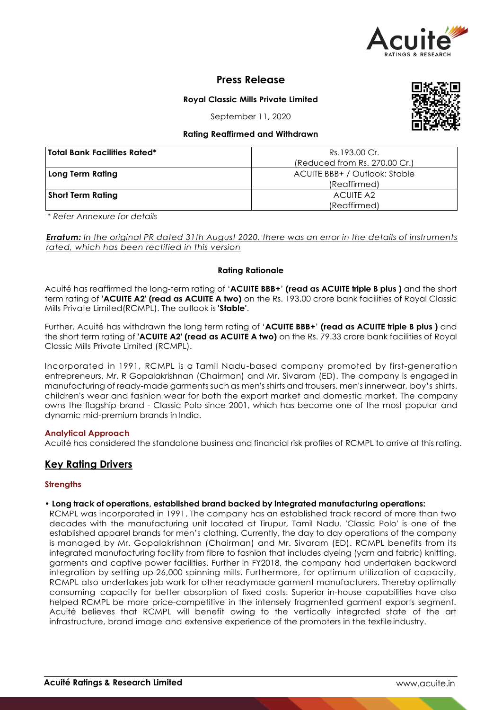

# **Press Release**

**Royal Classic Mills Private Limited**

September 11, 2020

# **Rating Reaffirmed and Withdrawn**

| 'Total Bank Facilities Rated* | Rs.193.00 Cr.                 |  |  |
|-------------------------------|-------------------------------|--|--|
|                               | (Reduced from Rs. 270.00 Cr.) |  |  |
| Long Term Rating              | ACUITE BBB+ / Outlook: Stable |  |  |
|                               | (Reaffirmed)                  |  |  |
| <b>Short Term Rating</b>      | <b>ACUITE A2</b>              |  |  |
|                               | (Reaffirmed)                  |  |  |

*\* Refer Annexure for details*

*Erratum: In the original PR dated 31th August 2020, there was an error in the details of instruments rated, which has been rectified in this version*

# **Rating Rationale**

Acuité has reaffirmed the long-term rating of '**ACUITE BBB+**' **(read as ACUITE triple B plus )** and the short term rating of **'ACUITE A2' (read as ACUITE A two)** on the Rs. 193.00 crore bank facilities of Royal Classic Mills Private Limited(RCMPL). The outlook is **'Stable'**.

Further, Acuité has withdrawn the long term rating of '**ACUITE BBB+**' **(read as ACUITE triple B plus )** and the short term rating of **'ACUITE A2' (read as ACUITE A two)** on the Rs. 79.33 crore bank facilities of Royal Classic Mills Private Limited (RCMPL).

Incorporated in 1991, RCMPL is a Tamil Nadu-based company promoted by first-generation entrepreneurs, Mr. R Gopalakrishnan (Chairman) and Mr. Sivaram (ED). The company is engaged in manufacturing of ready-made garments such as men's shirts and trousers, men's innerwear, boy's shirts, children's wear and fashion wear for both the export market and domestic market. The company owns the flagship brand - Classic Polo since 2001, which has become one of the most popular and dynamic mid-premium brands in India.

## **Analytical Approach**

Acuité has considered the standalone business and financial risk profiles of RCMPL to arrive at this rating.

# **Key Rating Drivers**

# **Strengths**

## • **Long track of operations, established brand backed by integrated manufacturing operations:**

RCMPL was incorporated in 1991. The company has an established track record of more than two decades with the manufacturing unit located at Tirupur, Tamil Nadu. 'Classic Polo' is one of the established apparel brands for men's clothing. Currently, the day to day operations of the company is managed by Mr. Gopalakrishnan (Chairman) and Mr. Sivaram (ED). RCMPL benefits from its integrated manufacturing facility from fibre to fashion that includes dyeing (yarn and fabric) knitting, garments and captive power facilities. Further in FY2018, the company had undertaken backward integration by setting up 26,000 spinning mills. Furthermore, for optimum utilization of capacity, RCMPL also undertakes job work for other readymade garment manufacturers. Thereby optimally consuming capacity for better absorption of fixed costs. Superior in-house capabilities have also helped RCMPL be more price-competitive in the intensely fragmented garment exports segment. Acuité believes that RCMPL will benefit owing to the vertically integrated state of the art infrastructure, brand image and extensive experience of the promoters in the textile industry.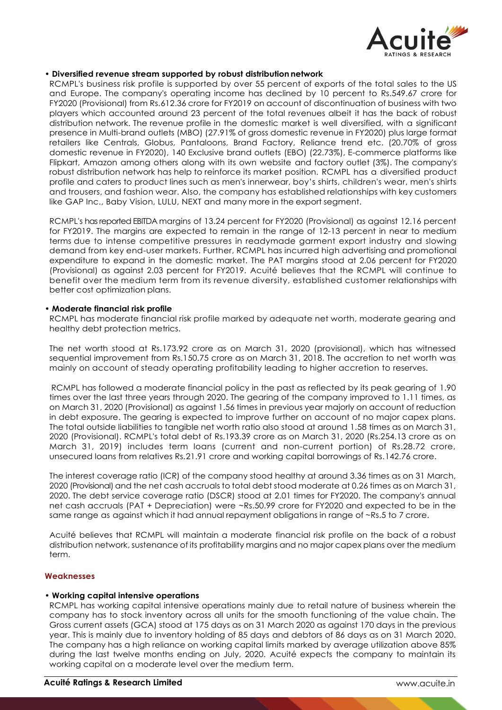

## • **Diversified revenue stream supported by robust distribution network**

RCMPL's business risk profile is supported by over 55 percent of exports of the total sales to the US and Europe. The company's operating income has declined by 10 percent to Rs.549.67 crore for FY2020 (Provisional) from Rs.612.36 crore for FY2019 on account of discontinuation of business with two players which accounted around 23 percent of the total revenues albeit it has the back of robust distribution network. The revenue profile in the domestic market is well diversified, with a significant presence in Multi-brand outlets (MBO) (27.91% of gross domestic revenue in FY2020) plus large format retailers like Centrals, Globus, Pantaloons, Brand Factory, Reliance trend etc. (20.70% of gross domestic revenue in FY2020), 140 Exclusive brand outlets (EBO) (22.73%), E-commerce platforms like Flipkart, Amazon among others along with its own website and factory outlet (3%). The company's robust distribution network has help to reinforce its market position. RCMPL has a diversified product profile and caters to product lines such as men's innerwear, boy's shirts, children's wear, men's shirts and trousers, and fashion wear. Also, the company has established relationships with key customers like GAP Inc., Baby Vision, LULU, NEXT and many more in the export segment.

RCMPL's has reported EBITDA margins of 13.24 percent for FY2020 (Provisional) as against 12.16 percent for FY2019. The margins are expected to remain in the range of 12-13 percent in near to medium terms due to intense competitive pressures in readymade garment export industry and slowing demand from key end-user markets. Further, RCMPL has incurred high advertising and promotional expenditure to expand in the domestic market. The PAT margins stood at 2.06 percent for FY2020 (Provisional) as against 2.03 percent for FY2019. Acuité believes that the RCMPL will continue to benefit over the medium term from its revenue diversity, established customer relationships with better cost optimization plans.

## • **Moderate financial risk profile**

RCMPL has moderate financial risk profile marked by adequate net worth, moderate gearing and healthy debt protection metrics.

The net worth stood at Rs.173.92 crore as on March 31, 2020 (provisional), which has witnessed sequential improvement from Rs.150.75 crore as on March 31, 2018. The accretion to net worth was mainly on account of steady operating profitability leading to higher accretion to reserves.

RCMPL has followed a moderate financial policy in the past as reflected by its peak gearing of 1.90 times over the last three years through 2020. The gearing of the company improved to 1.11 times, as on March 31, 2020 (Provisional) as against 1.56 times in previous year majorly on account of reduction in debt exposure. The gearing is expected to improve further on account of no major capex plans. The total outside liabilities to tangible net worth ratio also stood at around 1.58 times as on March 31, 2020 (Provisional). RCMPL's total debt of Rs.193.39 crore as on March 31, 2020 (Rs.254.13 crore as on March 31, 2019) includes term loans (current and non-current portion) of Rs.28.72 crore, unsecured loans from relatives Rs.21.91 crore and working capital borrowings of Rs.142.76 crore.

The interest coverage ratio (ICR) of the company stood healthy at around 3.36 times as on 31 March, 2020 (Provisional) and the net cash accruals to total debt stood moderate at 0.26 times as on March 31, 2020. The debt service coverage ratio (DSCR) stood at 2.01 times for FY2020. The company's annual net cash accruals (PAT + Depreciation) were ~Rs.50.99 crore for FY2020 and expected to be in the same range as against which it had annual repayment obligations in range of ~Rs.5 to 7 crore.

Acuité believes that RCMPL will maintain a moderate financial risk profile on the back of a robust distribution network, sustenance of its profitability margins and no major capex plans over the medium term.

## **Weaknesses**

## • **Working capital intensive operations**

RCMPL has working capital intensive operations mainly due to retail nature of business wherein the company has to stock inventory across all units for the smooth functioning of the value chain. The Gross current assets (GCA) stood at 175 days as on 31 March 2020 as against 170 days in the previous year. This is mainly due to inventory holding of 85 days and debtors of 86 days as on 31 March 2020. The company has a high reliance on working capital limits marked by average utilization above 85% during the last twelve months ending on July, 2020. Acuité expects the company to maintain its working capital on a moderate level over the medium term.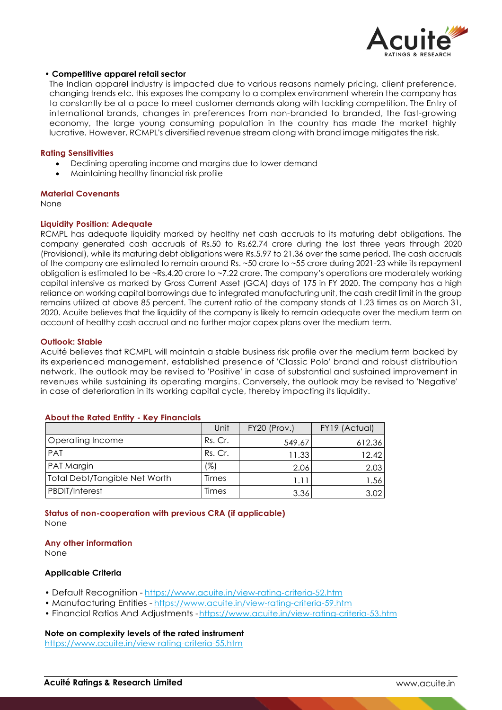

## • **Competitive apparel retail sector**

The Indian apparel industry is impacted due to various reasons namely pricing, client preference, changing trends etc. this exposes the company to a complex environment wherein the company has to constantly be at a pace to meet customer demands along with tackling competition. The Entry of international brands, changes in preferences from non-branded to branded, the fast-growing economy, the large young consuming population in the country has made the market highly lucrative. However, RCMPL's diversified revenue stream along with brand image mitigates the risk.

#### **Rating Sensitivities**

- Declining operating income and margins due to lower demand
- Maintaining healthy financial risk profile

#### **Material Covenants**

None

#### **Liquidity Position: Adequate**

RCMPL has adequate liquidity marked by healthy net cash accruals to its maturing debt obligations. The company generated cash accruals of Rs.50 to Rs.62.74 crore during the last three years through 2020 (Provisional), while its maturing debt obligations were Rs.5.97 to 21.36 over the same period. The cash accruals of the company are estimated to remain around Rs. ~50 crore to ~55 crore during 2021-23 while its repayment obligation is estimated to be ~Rs.4.20 crore to ~7.22 crore. The company's operations are moderately working capital intensive as marked by Gross Current Asset (GCA) days of 175 in FY 2020. The company has a high reliance on working capital borrowings due to integrated manufacturing unit, the cash credit limit in the group remains utilized at above 85 percent. The current ratio of the company stands at 1.23 times as on March 31, 2020. Acuite believes that the liquidity of the company is likely to remain adequate over the medium term on account of healthy cash accrual and no further major capex plans over the medium term.

#### **Outlook: Stable**

Acuité believes that RCMPL will maintain a stable business risk profile over the medium term backed by its experienced management, established presence of 'Classic Polo' brand and robust distribution network. The outlook may be revised to 'Positive' in case of substantial and sustained improvement in revenues while sustaining its operating margins. Conversely, the outlook may be revised to 'Negative' in case of deterioration in its working capital cycle, thereby impacting its liquidity.

# **About the Rated Entity - Key Financials**

|                               | Unit    | FY20 (Prov.) | FY19 (Actual) |
|-------------------------------|---------|--------------|---------------|
| Operating Income              | Rs. Cr. | 549.67       | 612.36        |
| PAT                           | Rs. Cr. | 11.33        | 12.42         |
| PAT Margin                    | (%)     | 2.06         | 2.03          |
| Total Debt/Tangible Net Worth | Times   | 1.11         | 1.561         |
| <b>PBDIT/Interest</b>         | Times   | 3.36         | 3.02          |

## **Status of non-cooperation with previous CRA (if applicable)** None

#### **Any other information**

None

#### **Applicable Criteria**

- Default Recognition https://www.acuite.in/view-rating-criteria-52.htm
- Manufacturing Entities https://www.acuite.in/view-rating-criteria-59.htm
- Financial Ratios And Adjustments -https://www.acuite.in/view-rating-criteria-53.htm

#### **Note on complexity levels of the rated instrument**

https://www.acuite.in/view-rating-criteria-55.htm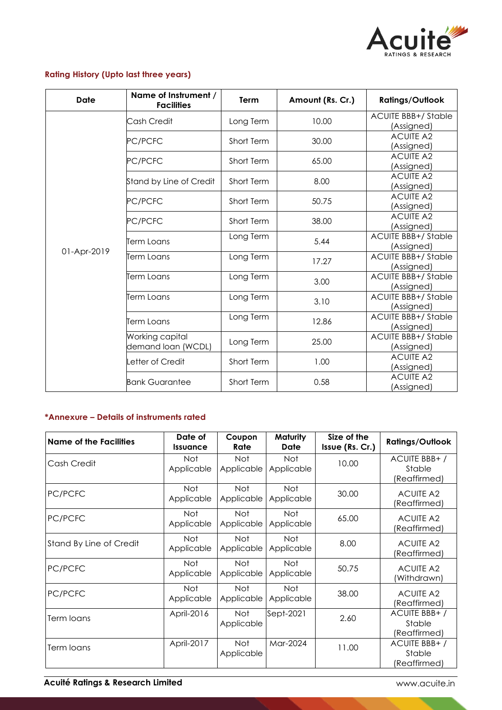

# **Rating History (Upto last three years)**

| <b>Date</b> | Name of Instrument /<br><b>Facilities</b> | Term       | Amount (Rs. Cr.) | <b>Ratings/Outlook</b>                  |
|-------------|-------------------------------------------|------------|------------------|-----------------------------------------|
|             | Cash Credit                               | Long Term  | 10.00            | <b>ACUITE BBB+/Stable</b><br>(Assigned) |
|             | PC/PCFC                                   | Short Term | 30.00            | <b>ACUITE A2</b><br>(Assigned)          |
|             | PC/PCFC                                   | Short Term | 65.00            | <b>ACUITE A2</b><br>(Assigned)          |
|             | Stand by Line of Credit                   | Short Term | 8.00             | <b>ACUITE A2</b><br>(Assigned)          |
|             | PC/PCFC                                   | Short Term | 50.75            | <b>ACUITE A2</b><br>(Assigned)          |
|             | PC/PCFC                                   | Short Term | 38.00            | <b>ACUITE A2</b><br>(Assigned)          |
| 01-Apr-2019 | Term Loans                                | Long Term  | 5.44             | <b>ACUITE BBB+/Stable</b><br>(Assigned) |
|             | Term Loans                                | Long Term  | 17.27            | <b>ACUITE BBB+/Stable</b><br>(Assigned) |
|             | Term Loans                                | Long Term  | 3.00             | <b>ACUITE BBB+/Stable</b><br>(Assigned) |
|             | Term Loans                                | Long Term  | 3.10             | <b>ACUITE BBB+/Stable</b><br>(Assigned) |
|             | Term Loans                                | Long Term  | 12.86            | <b>ACUITE BBB+/Stable</b><br>(Assigned) |
|             | Working capital<br>demand loan (WCDL)     | Long Term  | 25.00            | <b>ACUITE BBB+/Stable</b><br>(Assigned) |
|             | Letter of Credit                          | Short Term | 1.00             | <b>ACUITE A2</b><br>(Assigned)          |
|             | <b>Bank Guarantee</b>                     | Short Term | 0.58             | <b>ACUITE A2</b><br>(Assigned)          |

# **\*Annexure – Details of instruments rated**

| <b>Name of the Facilities</b> | Date of<br><b>Issuance</b> | Coupon<br>Rate           | Maturity<br>Date         | Size of the<br>Issue (Rs. Cr.) | <b>Ratings/Outlook</b>                 |
|-------------------------------|----------------------------|--------------------------|--------------------------|--------------------------------|----------------------------------------|
| Cash Credit                   | Not<br>Applicable          | Not<br>Applicable        | Not<br>Applicable        | 10.00                          | ACUITE BBB+/<br>Stable<br>(Reaffirmed) |
| PC/PCFC                       | Not<br>Applicable          | Not<br>Applicable        | Not<br>Applicable        | 30.00                          | <b>ACUITE A2</b><br>(Reaffirmed)       |
| PC/PCFC                       | Not<br>Applicable          | Not<br>Applicable        | Not<br>Applicable        | 65.00                          | <b>ACUITE A2</b><br>(Reaffirmed)       |
| Stand By Line of Credit       | Not<br>Applicable          | <b>Not</b><br>Applicable | Not<br>Applicable        | 8.00                           | <b>ACUITE A2</b><br>(Reaffirmed)       |
| PC/PCFC                       | <b>Not</b><br>Applicable   | Not.<br>Applicable       | <b>Not</b><br>Applicable | 50.75                          | <b>ACUITE A2</b><br>Withdrawn)         |
| PC/PCFC                       | Not<br>Applicable          | Not<br>Applicable        | Not<br>Applicable        | 38.00                          | <b>ACUITE A2</b><br>(Reaffirmed)       |
| Term loans                    | April-2016                 | Not<br>Applicable        | Sept-2021                | 2.60                           | ACUITE BBB+/<br>Stable<br>(Reaffirmed) |
| Term loans                    | April-2017                 | <b>Not</b><br>Applicable | Mar-2024                 | 11.00                          | ACUITE BBB+/<br>Stable<br>(Reaffirmed) |